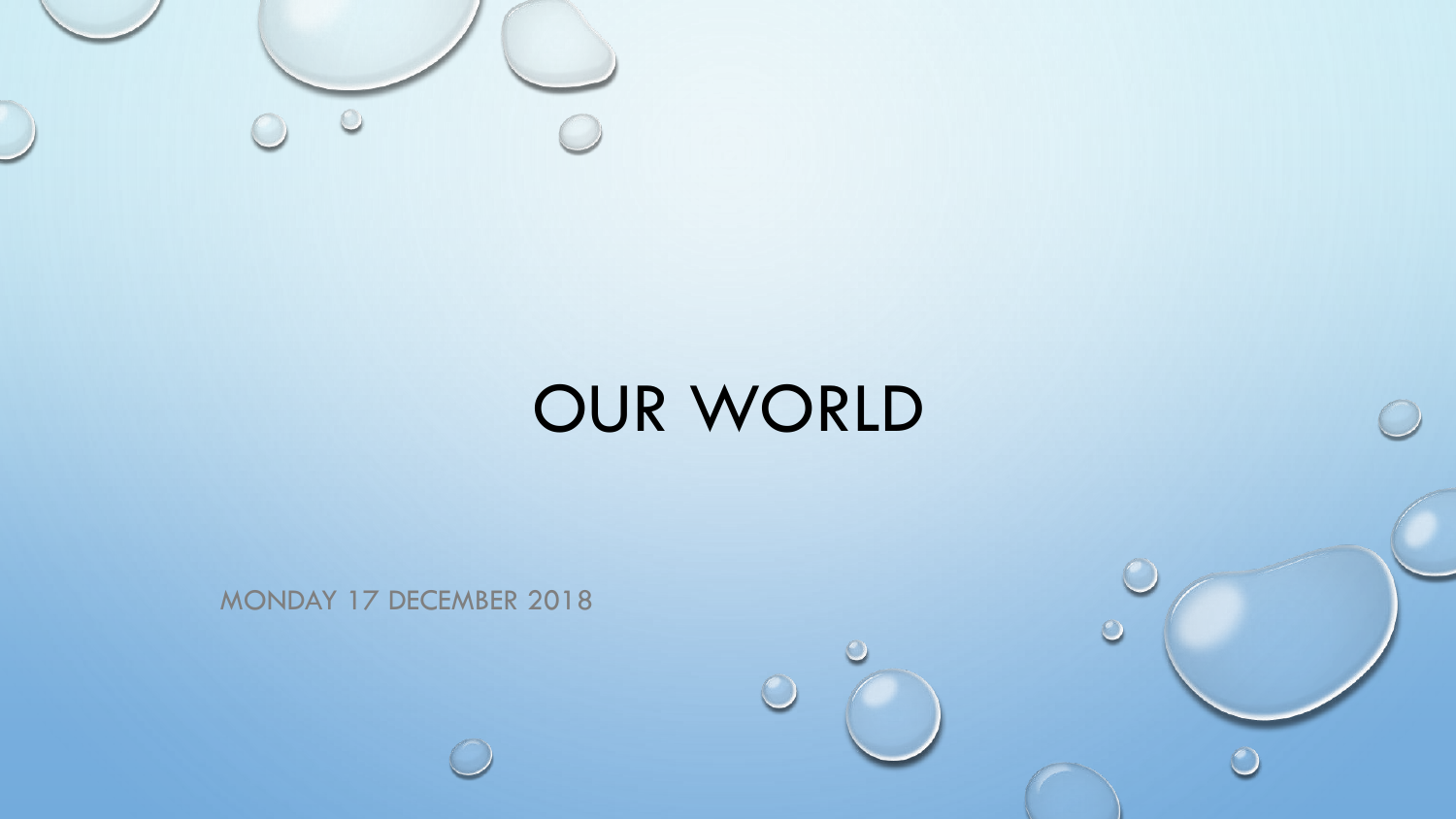

## OUR WORLD

 $\subset$ 

 $\circ$ 

MONDAY 17 DECEMBER 2018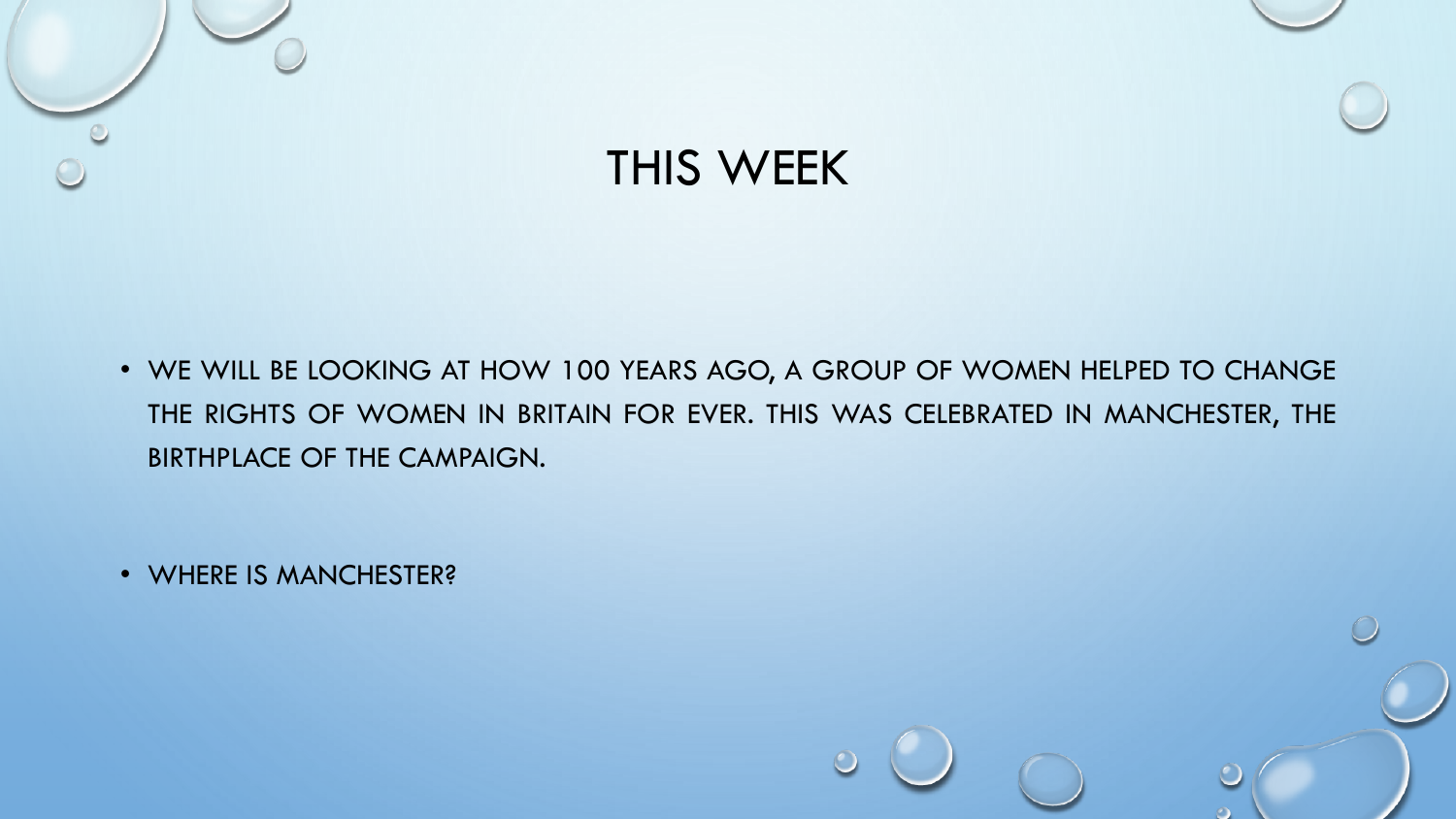

• WE WILL BE LOOKING AT HOW 100 YEARS AGO, A GROUP OF WOMEN HELPED TO CHANGE THE RIGHTS OF WOMEN IN BRITAIN FOR EVER. THIS WAS CELEBRATED IN MANCHESTER, THE BIRTHPLACE OF THE CAMPAIGN.

• WHERE IS MANCHESTER?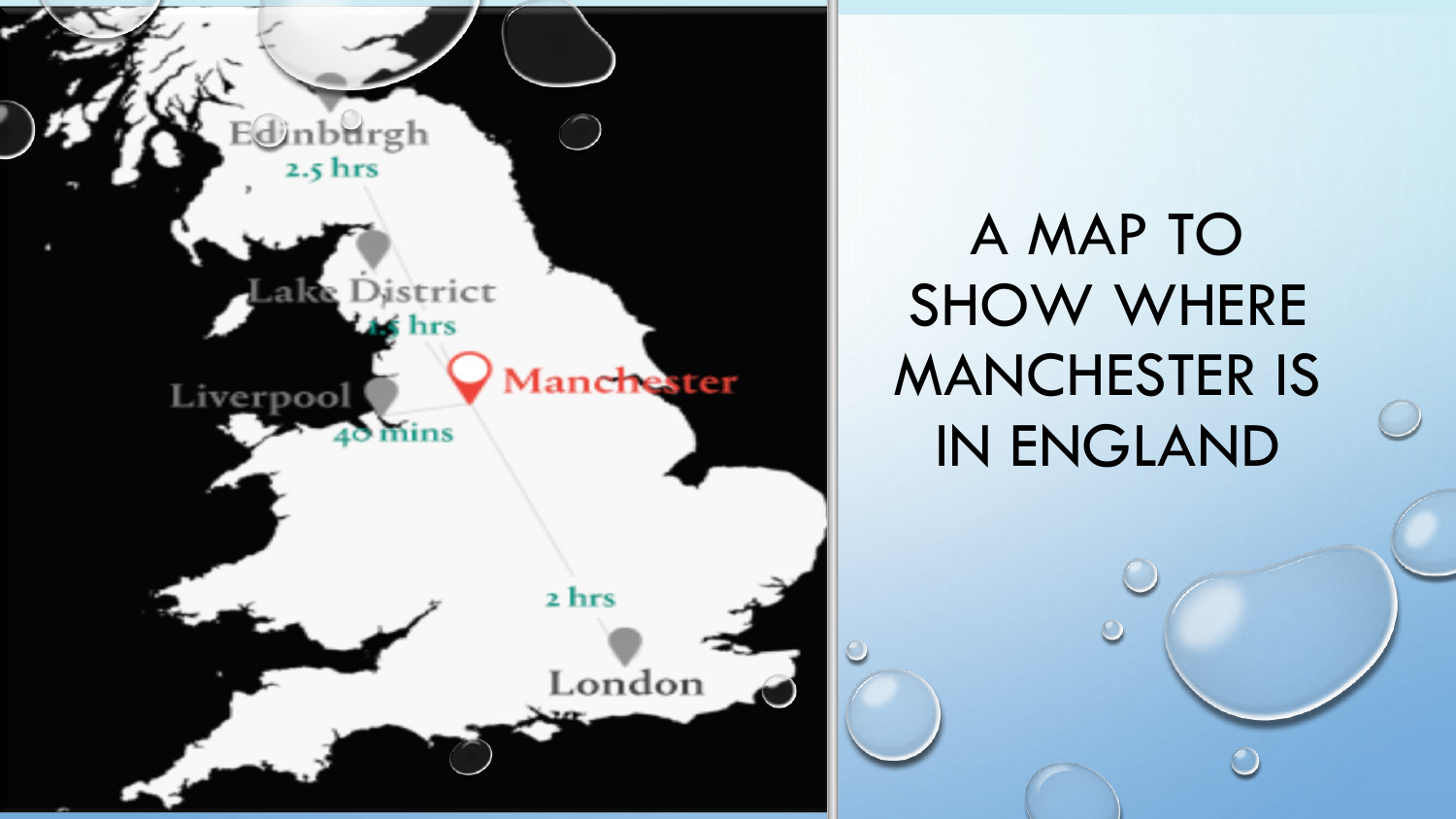

A MAP TO SHOW WHERE MANCHESTER IS IN ENGLAND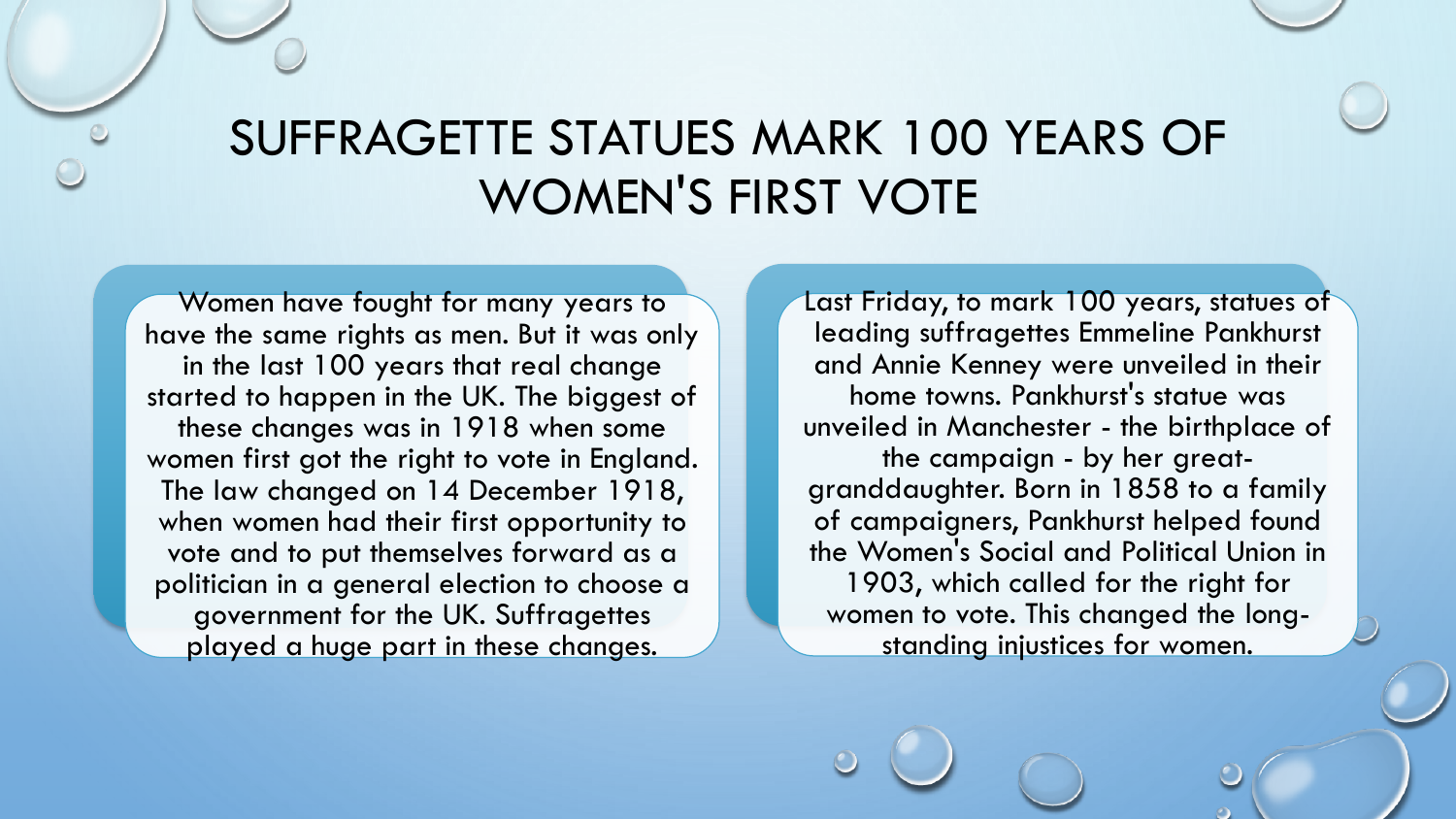## SUFFRAGETTE STATUES MARK 100 YEARS OF WOMEN'S FIRST VOTE

Women have fought for many years to have the same rights as men. But it was only in the last 100 years that real change started to happen in the UK. The biggest of these changes was in 1918 when some women first got the right to vote in England. The law changed on 14 December 1918, when women had their first opportunity to vote and to put themselves forward as a politician in a general election to choose a government for the UK. Suffragettes played a huge part in these changes.

Last Friday, to mark 100 years, statues of leading suffragettes Emmeline Pankhurst and Annie Kenney were unveiled in their home towns. Pankhurst's statue was unveiled in Manchester - the birthplace of the campaign - by her greatgranddaughter. Born in 1858 to a family of campaigners, Pankhurst helped found the Women's Social and Political Union in 1903, which called for the right for women to vote. This changed the longstanding injustices for women.